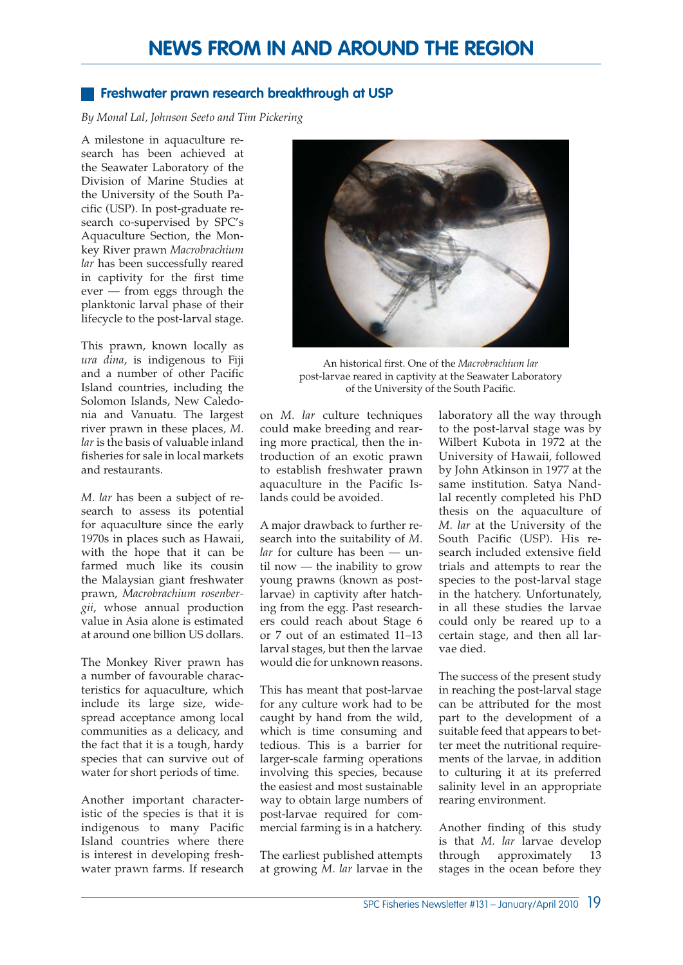## **Freshwater prawn research breakthrough at USP**

*By Monal Lal, Johnson Seeto and Tim Pickering*

A milestone in aquaculture research has been achieved at the Seawater Laboratory of the Division of Marine Studies at the University of the South Pacific (USP). In post-graduate research co-supervised by SPC's Aquaculture Section, the Monkey River prawn *Macrobrachium lar* has been successfully reared in captivity for the first time ever — from eggs through the planktonic larval phase of their lifecycle to the post-larval stage.

This prawn, known locally as *ura dina*, is indigenous to Fiji and a number of other Pacific Island countries, including the Solomon Islands, New Caledonia and Vanuatu. The largest river prawn in these places*, M. lar* is the basis of valuable inland fisheries for sale in local markets and restaurants.

*M. lar* has been a subject of research to assess its potential for aquaculture since the early 1970s in places such as Hawaii, with the hope that it can be farmed much like its cousin the Malaysian giant freshwater prawn, *Macrobrachium rosenbergii*, whose annual production value in Asia alone is estimated at around one billion US dollars.

The Monkey River prawn has a number of favourable characteristics for aquaculture, which include its large size, widespread acceptance among local communities as a delicacy, and the fact that it is a tough, hardy species that can survive out of water for short periods of time.

Another important characteristic of the species is that it is indigenous to many Pacific Island countries where there is interest in developing freshwater prawn farms. If research



An historical first. One of the *Macrobrachium lar* post-larvae reared in captivity at the Seawater Laboratory of the University of the South Pacific.

on *M. lar* culture techniques could make breeding and rearing more practical, then the introduction of an exotic prawn to establish freshwater prawn aquaculture in the Pacific Islands could be avoided.

A major drawback to further research into the suitability of *M. lar* for culture has been — until now — the inability to grow young prawns (known as postlarvae) in captivity after hatching from the egg. Past researchers could reach about Stage 6 or 7 out of an estimated 11–13 larval stages, but then the larvae would die for unknown reasons.

This has meant that post-larvae for any culture work had to be caught by hand from the wild, which is time consuming and tedious. This is a barrier for larger-scale farming operations involving this species, because the easiest and most sustainable way to obtain large numbers of post-larvae required for commercial farming is in a hatchery.

The earliest published attempts at growing *M. lar* larvae in the laboratory all the way through to the post-larval stage was by Wilbert Kubota in 1972 at the University of Hawaii, followed by John Atkinson in 1977 at the same institution. Satya Nandlal recently completed his PhD thesis on the aquaculture of *M. lar* at the University of the South Pacific (USP). His research included extensive field trials and attempts to rear the species to the post-larval stage in the hatchery. Unfortunately, in all these studies the larvae could only be reared up to a certain stage, and then all larvae died.

The success of the present study in reaching the post-larval stage can be attributed for the most part to the development of a suitable feed that appears to better meet the nutritional requirements of the larvae, in addition to culturing it at its preferred salinity level in an appropriate rearing environment.

Another finding of this study is that *M. lar* larvae develop through approximately 13 stages in the ocean before they